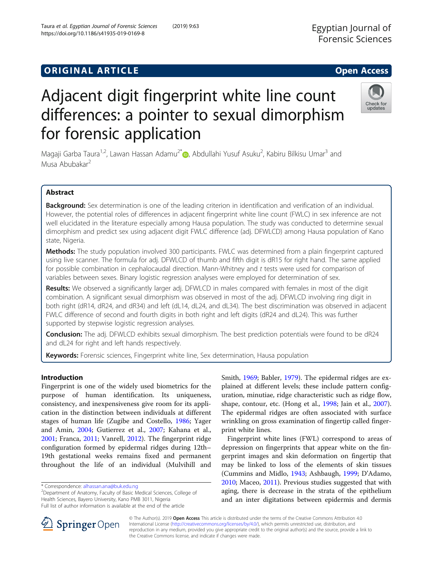# **ORIGINAL ARTICLE CONSERVANCE IN A LOCAL CONSERVANCE IN A LOCAL CONSERVANCE IN A LOCAL CONSERVANCE IN A LOCAL CONS**

# Adjacent digit fingerprint white line count differences: a pointer to sexual dimorphism for forensic application

Magaji Garba Taura<sup>1[,](http://orcid.org/0000-0003-4787-8294)2</sup>, Lawan Hassan Adamu<sup>2\*</sup> (@, Abdullahi Yusuf Asuku<sup>2</sup>, Kabiru Bilkisu Umar<sup>3</sup> and Musa Abubakar<sup>2</sup>

# Abstract

Background: Sex determination is one of the leading criterion in identification and verification of an individual. However, the potential roles of differences in adjacent fingerprint white line count (FWLC) in sex inference are not well elucidated in the literature especially among Hausa population. The study was conducted to determine sexual dimorphism and predict sex using adjacent digit FWLC difference (adj. DFWLCD) among Hausa population of Kano state, Nigeria.

Methods: The study population involved 300 participants. FWLC was determined from a plain fingerprint captured using live scanner. The formula for adj. DFWLCD of thumb and fifth digit is dR15 for right hand. The same applied for possible combination in cephalocaudal direction. Mann-Whitney and t tests were used for comparison of variables between sexes. Binary logistic regression analyses were employed for determination of sex.

Results: We observed a significantly larger adj. DFWLCD in males compared with females in most of the digit combination. A significant sexual dimorphism was observed in most of the adj. DFWLCD involving ring digit in both right (dR14, dR24, and dR34) and left (dL14, dL24, and dL34). The best discrimination was observed in adjacent FWLC difference of second and fourth digits in both right and left digits (dR24 and dL24). This was further supported by stepwise logistic regression analyses.

Conclusion: The adj. DFWLCD exhibits sexual dimorphism. The best prediction potentials were found to be dR24 and dL24 for right and left hands respectively.

Keywords: Forensic sciences, Fingerprint white line, Sex determination, Hausa population

# Introduction

Fingerprint is one of the widely used biometrics for the purpose of human identification. Its uniqueness, consistency, and inexpensiveness give room for its application in the distinction between individuals at different stages of human life (Zugibe and Costello, [1986;](#page-7-0) Yager and Amin, [2004](#page-7-0); Gutierrez et al., [2007;](#page-7-0) Kahana et al., [2001](#page-7-0); Franca, [2011](#page-7-0); Vanrell, [2012\)](#page-7-0). The fingerprint ridge configuration formed by epidermal ridges during 12th– 19th gestational weeks remains fixed and permanent throughout the life of an individual (Mulvihill and

\* Correspondence: [alhassan.ana@buk.edu.ng](mailto:alhassan.ana@buk.edu.ng) <sup>2</sup>

<sup>2</sup>Department of Anatomy, Faculty of Basic Medical Sciences, College of Health Sciences, Bayero University, Kano PMB 3011, Nigeria Full list of author information is available at the end of the article

> © The Author(s). 2019 Open Access This article is distributed under the terms of the Creative Commons Attribution 4.0 International License ([http://creativecommons.org/licenses/by/4.0/\)](http://creativecommons.org/licenses/by/4.0/), which permits unrestricted use, distribution, and reproduction in any medium, provided you give appropriate credit to the original author(s) and the source, provide a link to the Creative Commons license, and indicate if changes were made.

Smith, [1969;](#page-7-0) Babler, [1979](#page-6-0)). The epidermal ridges are explained at different levels; these include pattern configuration, minutiae, ridge characteristic such as ridge flow, shape, contour, etc. (Hong et al., [1998](#page-7-0); Jain et al., [2007](#page-7-0)). The epidermal ridges are often associated with surface wrinkling on gross examination of fingertip called fingerprint white lines.

Fingerprint white lines (FWL) correspond to areas of depression on fingerprints that appear white on the fingerprint images and skin deformation on fingertip that may be linked to loss of the elements of skin tissues (Cummins and Midlo, [1943;](#page-6-0) Ashbaugh, [1999;](#page-6-0) D'Adamo, [2010](#page-7-0); Maceo, [2011\)](#page-7-0). Previous studies suggested that with aging, there is decrease in the strata of the epithelium and an inter digitations between epidermis and dermis



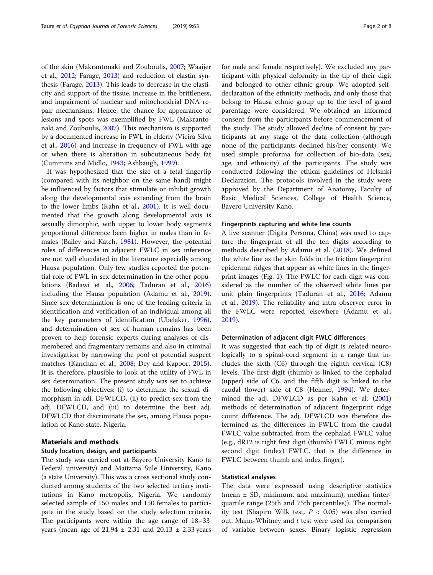of the skin (Makrantonaki and Zouboulis, [2007](#page-7-0); Waaijer et al., [2012](#page-7-0); Farage, [2013\)](#page-7-0) and reduction of elastin synthesis (Farage, [2013](#page-7-0)). This leads to decrease in the elasticity and support of the tissue, increase in the brittleness, and impairment of nuclear and mitochondrial DNA repair mechanisms. Hence, the chance for appearance of lesions and spots was exemplified by FWL (Makrantonaki and Zouboulis, [2007\)](#page-7-0). This mechanism is supported by a documented increase in FWL in elderly (Vieira Silva et al., [2016](#page-7-0)) and increase in frequency of FWL with age or when there is alteration in subcutaneous body fat (Cummins and Midlo, [1943](#page-6-0); Ashbaugh, [1999\)](#page-6-0).

It was hypothesized that the size of a fetal fingertip (compared with its neighbor on the same hand) might be influenced by factors that stimulate or inhibit growth along the developmental axis extending from the brain to the lower limbs (Kahn et al., [2001\)](#page-7-0). It is well documented that the growth along developmental axis is sexually dimorphic, with upper to lower body segments proportional difference been higher in males than in females (Bailey and Katch, [1981\)](#page-6-0). However, the potential roles of differences in adjacent FWLC in sex inference are not well elucidated in the literature especially among Hausa population. Only few studies reported the potential role of FWL in sex determination in the other populations (Badawi et al., [2006](#page-6-0); Taduran et al., [2016](#page-7-0)) including the Hausa population (Adamu et al., [2019](#page-6-0)). Since sex determination is one of the leading criteria in identification and verification of an individual among all the key parameters of identification (Ubelaker, [1996](#page-7-0)), and determination of sex of human remains has been proven to help forensic experts during analyses of dismembered and fragmentary remains and also in criminal investigation by narrowing the pool of potential suspect matches (Kanchan et al., [2008](#page-7-0); Dey and Kapoor, [2015](#page-7-0)). It is, therefore, plausible to look at the utility of FWL in sex determination. The present study was set to achieve the following objectives: (i) to determine the sexual dimorphism in adj. DFWLCD, (ii) to predict sex from the adj. DFWLCD, and (iii) to determine the best adj. DFWLCD that discriminate the sex, among Hausa population of Kano state, Nigeria.

#### Materials and methods

# Study location, design, and participants

The study was carried out at Bayero University Kano (a Federal university) and Maitama Sule University, Kano (a state University). This was a cross sectional study conducted among students of the two selected tertiary institutions in Kano metropolis, Nigeria. We randomly selected sample of 150 males and 150 females to participate in the study based on the study selection criteria. The participants were within the age range of 18–33 years (mean age of  $21.94 \pm 2.31$  and  $20.13 \pm 2.33$  years

for male and female respectively). We excluded any participant with physical deformity in the tip of their digit and belonged to other ethnic group. We adopted selfdeclaration of the ethnicity methods, and only those that belong to Hausa ethnic group up to the level of grand parentage were considered. We obtained an informed consent from the participants before commencement of the study. The study allowed decline of consent by participants at any stage of the data collection (although none of the participants declined his/her consent). We used simple proforma for collection of bio-data (sex, age, and ethnicity) of the participants. The study was conducted following the ethical guidelines of Helsinki Declaration. The protocols involved in the study were approved by the Department of Anatomy, Faculty of Basic Medical Sciences, College of Health Science, Bayero University Kano.

#### Fingerprints capturing and white line counts

A live scanner (Digita Persona, China) was used to capture the fingerprint of all the ten digits according to methods described by Adamu et al. [\(2018](#page-6-0)). We defined the white line as the skin folds in the friction fingerprint epidermal ridges that appear as white lines in the fingerprint images (Fig. [1](#page-2-0)). The FWLC for each digit was considered as the number of the observed white lines per unit plain fingerprints (Taduran et al., [2016](#page-7-0); Adamu et al., [2019\)](#page-6-0). The reliability and intra observer error in the FWLC were reported elsewhere (Adamu et al., [2019](#page-6-0)).

## Determination of adjacent digit FWLC differences

It was suggested that each tip of digit is related neurologically to a spinal-cord segment in a range that includes the sixth (C6) through the eighth cervical (C8) levels. The first digit (thumb) is linked to the cephalad (upper) side of C6, and the fifth digit is linked to the caudal (lower) side of C8 (Heimer, [1994\)](#page-7-0). We determined the adj. DFWLCD as per Kahn et al. ([2001](#page-7-0)) methods of determination of adjacent fingerprint ridge count difference. The adj. DFWLCD was therefore determined as the differences in FWLC from the caudal FWLC value subtracted from the cephalad FWLC value (e.g., dR12 is right first digit (thumb) FWLC minus right second digit (index) FWLC, that is the difference in FWLC between thumb and index finger).

#### Statistical analyses

The data were expressed using descriptive statistics (mean ± SD, minimum, and maximum), median (interquartile range (25th and 75th percentiles)). The normality test (Shapiro Wilk test,  $P < 0.05$ ) was also carried out. Mann-Whitney and t test were used for comparison of variable between sexes. Binary logistic regression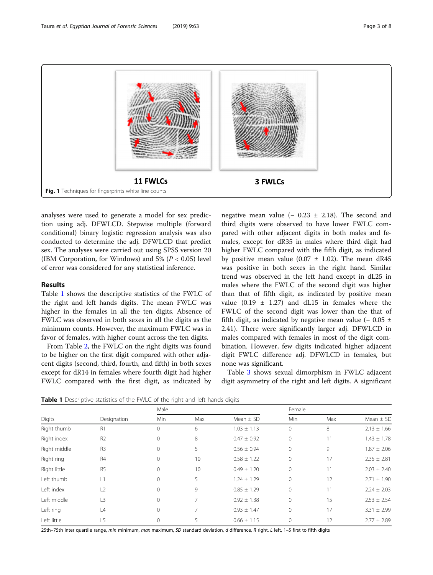<span id="page-2-0"></span>

analyses were used to generate a model for sex prediction using adj. DFWLCD. Stepwise multiple (forward conditional) binary logistic regression analysis was also conducted to determine the adj. DFWLCD that predict sex. The analyses were carried out using SPSS version 20 (IBM Corporation, for Windows) and  $5\%$  ( $P < 0.05$ ) level of error was considered for any statistical inference.

# Results

Table 1 shows the descriptive statistics of the FWLC of the right and left hands digits. The mean FWLC was higher in the females in all the ten digits. Absence of FWLC was observed in both sexes in all the digits as the minimum counts. However, the maximum FWLC was in favor of females, with higher count across the ten digits.

From Table [2,](#page-3-0) the FWLC on the right digits was found to be higher on the first digit compared with other adjacent digits (second, third, fourth, and fifth) in both sexes except for dR14 in females where fourth digit had higher FWLC compared with the first digit, as indicated by negative mean value ( $-$  0.23  $\pm$  2.18). The second and third digits were observed to have lower FWLC compared with other adjacent digits in both males and females, except for dR35 in males where third digit had higher FWLC compared with the fifth digit, as indicated by positive mean value  $(0.07 \pm 1.02)$ . The mean dR45 was positive in both sexes in the right hand. Similar trend was observed in the left hand except in dL25 in males where the FWLC of the second digit was higher than that of fifth digit, as indicated by positive mean value  $(0.19 \pm 1.27)$  and dL15 in females where the FWLC of the second digit was lower than the that of fifth digit, as indicated by negative mean value ( $-0.05 \pm 1$ 2.41). There were significantly larger adj. DFWLCD in males compared with females in most of the digit combination. However, few digits indicated higher adjacent digit FWLC difference adj. DFWLCD in females, but none was significant.

Table [3](#page-4-0) shows sexual dimorphism in FWLC adjacent digit asymmetry of the right and left digits. A significant

**Table 1** Descriptive statistics of the FWLC of the right and left hands digits

| Digits       | Designation    | Male     |                 |                 | Female       |     |                 |  |
|--------------|----------------|----------|-----------------|-----------------|--------------|-----|-----------------|--|
|              |                | Min      | Max             | Mean $\pm$ SD   | Min          | Max | Mean $\pm$ SD   |  |
| Right thumb  | R <sub>1</sub> | 0        | 6               | $1.03 \pm 1.13$ | $\mathbf{0}$ | 8   | $2.13 \pm 1.66$ |  |
| Right index  | R <sub>2</sub> | $\circ$  | 8               | $0.47 \pm 0.92$ | $\mathbf{0}$ | 11  | $1.43 \pm 1.78$ |  |
| Right middle | R <sub>3</sub> | $\Omega$ | 5               | $0.56 \pm 0.94$ | $\mathbf{0}$ | 9   | $1.87 \pm 2.06$ |  |
| Right ring   | R <sub>4</sub> | 0        | 10 <sup>°</sup> | $0.58 \pm 1.22$ | 0            | 17  | $2.35 \pm 2.81$ |  |
| Right little | R <sub>5</sub> | $\Omega$ | 10              | $0.49 \pm 1.20$ | 0            | 11  | $2.03 \pm 2.40$ |  |
| Left thumb   | L1             | $\Omega$ | 5               | $1.24 \pm 1.29$ | $\mathbf{0}$ | 12  | $2.71 \pm 1.90$ |  |
| Left index   | L2             | 0        | 9               | $0.85 \pm 1.29$ | $\mathbf 0$  | 11  | $2.24 \pm 2.03$ |  |
| Left middle  | L <sub>3</sub> | 0        | 7               | $0.92 \pm 1.38$ | 0            | 15  | $2.53 \pm 2.54$ |  |
| Left ring    | L4             | $\Omega$ | 7               | $0.93 \pm 1.47$ | $\Omega$     | 17  | $3.31 \pm 2.99$ |  |
| Left little  | L5             | $\Omega$ | 5               | $0.66 \pm 1.15$ | $\Omega$     | 12  | $2.77 \pm 2.89$ |  |

25th–75th inter quartile range, min minimum, max maximum, SD standard deviation, d difference, R right, L left, 1-5 first to fifth digits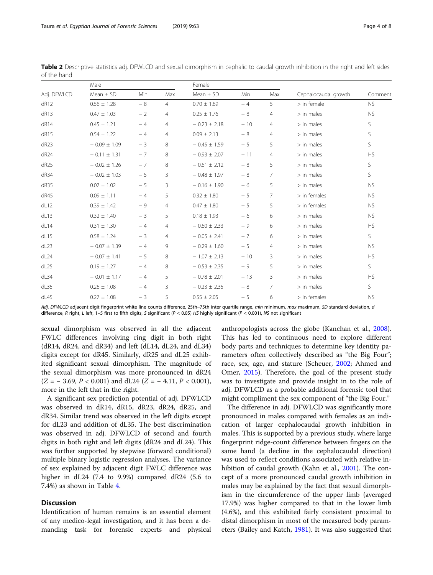<span id="page-3-0"></span>Taura et al. Egyptian Journal of Forensic Sciences (2019) 9:63 Page 4 of 8

| Adj. DFWLCD      | Male             |      |                | Female           |       |                |                      |           |
|------------------|------------------|------|----------------|------------------|-------|----------------|----------------------|-----------|
|                  | Mean $\pm$ SD    | Min  | Max            | Mean $\pm$ SD    | Min   | Max            | Cephalocaudal growth | Comment   |
| dR12             | $0.56 \pm 1.28$  | $-8$ | $\overline{4}$ | $0.70 \pm 1.69$  | $-4$  | 5              | $>$ in female        | <b>NS</b> |
| dR13             | $0.47 \pm 1.03$  | $-2$ | $\overline{4}$ | $0.25 \pm 1.76$  | $-8$  | $\overline{4}$ | $>$ in males         | <b>NS</b> |
| dR14             | $0.45 \pm 1.21$  | $-4$ | $\overline{4}$ | $-0.23 \pm 2.18$ | $-10$ | $\overline{4}$ | $>$ in males         | S         |
| dR <sub>15</sub> | $0.54 \pm 1.22$  | $-4$ | $\overline{4}$ | $0.09 \pm 2.13$  | $-8$  | $\overline{4}$ | $>$ in males         | S         |
| dR <sub>23</sub> | $-0.09 \pm 1.09$ | $-3$ | 8              | $-0.45 \pm 1.59$ | $-5$  | 5              | $>$ in males         | S         |
| dR24             | $-0.11 \pm 1.31$ | $-7$ | 8              | $-0.93 \pm 2.07$ | $-11$ | $\overline{4}$ | $>$ in males         | <b>HS</b> |
| dR <sub>25</sub> | $-0.02 \pm 1.26$ | $-7$ | 8              | $-0.61 \pm 2.12$ | $-8$  | 5              | $>$ in males         | S         |
| dR34             | $-0.02 \pm 1.03$ | $-5$ | 3              | $-0.48 \pm 1.97$ | $-8$  | $\overline{7}$ | $>$ in males         | S         |
| dR35             | $0.07 \pm 1.02$  | $-5$ | 3              | $-0.16 \pm 1.90$ | $-6$  | 5              | $>$ in males         | <b>NS</b> |
| dR45             | $0.09 \pm 1.11$  | $-4$ | 5              | $0.32 \pm 1.80$  | $-5$  | $\overline{7}$ | $>$ in females       | <b>NS</b> |
| dL12             | $0.39 \pm 1.42$  | $-9$ | $\overline{4}$ | $0.47 \pm 1.80$  | $-5$  | 5              | $>$ in females       | <b>NS</b> |
| dL13             | $0.32 \pm 1.40$  | $-3$ | 5              | $0.18 \pm 1.93$  | $-6$  | 6              | $>$ in males         | <b>NS</b> |
| dL14             | $0.31 \pm 1.30$  | $-4$ | $\overline{4}$ | $-0.60 \pm 2.33$ | $-9$  | 6              | $>$ in males         | <b>HS</b> |
| dL15             | $0.58 \pm 1.24$  | $-3$ | 4              | $-0.05 \pm 2.41$ | $-7$  | 6              | $>$ in males         | S.        |
| dL23             | $-0.07 \pm 1.39$ | $-4$ | 9              | $-0.29 \pm 1.60$ | $-5$  | $\overline{4}$ | $>$ in males         | <b>NS</b> |
| dL24             | $-0.07 \pm 1.41$ | $-5$ | 8              | $-1.07 \pm 2.13$ | $-10$ | 3              | $>$ in males         | <b>HS</b> |
| dL25             | $0.19 \pm 1.27$  | $-4$ | 8              | $-0.53 \pm 2.35$ | $-9$  | 5              | $>$ in males         | S         |
| dL34             | $-0.01 \pm 1.17$ | $-4$ | 5              | $-0.78 \pm 2.01$ | $-13$ | 3              | $>$ in males         | <b>HS</b> |
| dL35             | $0.26 \pm 1.08$  | $-4$ | 3              | $-0.23 \pm 2.35$ | $-8$  | $\overline{7}$ | $>$ in males         | S         |
| dL45             | $0.27 \pm 1.08$  | $-3$ | 5              | $0.55 \pm 2.05$  | $-5$  | 6              | $>$ in females       | <b>NS</b> |

Table 2 Descriptive statistics adj. DFWLCD and sexual dimorphism in cephalic to caudal growth inhibition in the right and left sides of the hand

Adj. DFWLCD adjacent digit fingerprint white line counts difference, 25th-75th inter quartile range, min minimum, max maximum, SD standard deviation, d difference, R right, L left, 1–5 first to fifth digits, S significant (P < 0.05) HS highly significant (P < 0.001), NS not significant

sexual dimorphism was observed in all the adjacent FWLC differences involving ring digit in both right  $(dR14, dR24, and dR34)$  and left  $(dL14, dL24, and dL34)$ digits except for dR45. Similarly, dR25 and dL25 exhibited significant sexual dimorphism. The magnitude of the sexual dimorphism was more pronounced in dR24  $(Z = -3.69, P < 0.001)$  and dL24  $(Z = -4.11, P < 0.001)$ , more in the left that in the right.

A significant sex prediction potential of adj. DFWLCD was observed in dR14, dR15, dR23, dR24, dR25, and dR34. Similar trend was observed in the left digits except for dL23 and addition of dL35. The best discrimination was observed in adj. DFWLCD of second and fourth digits in both right and left digits (dR24 and dL24). This was further supported by stepwise (forward conditional) multiple binary logistic regression analyses. The variance of sex explained by adjacent digit FWLC difference was higher in dL24 (7.4 to 9.9%) compared dR24 (5.6 to 7.4%) as shown in Table [4.](#page-5-0)

# **Discussion**

Identification of human remains is an essential element of any medico-legal investigation, and it has been a demanding task for forensic experts and physical

anthropologists across the globe (Kanchan et al., [2008](#page-7-0)). This has led to continuous need to explore different body parts and techniques to determine key identity parameters often collectively described as "the Big Four"; race, sex, age, and stature (Scheuer, [2002](#page-7-0); Ahmed and Omer, [2015](#page-6-0)). Therefore, the goal of the present study was to investigate and provide insight in to the role of adj. DFWLCD as a probable additional forensic tool that might compliment the sex component of "the Big Four."

The difference in adj. DFWLCD was significantly more pronounced in males compared with females as an indication of larger cephalocaudal growth inhibition in males. This is supported by a previous study, where large fingerprint ridge-count difference between fingers on the same hand (a decline in the cephalocaudal direction) was used to reflect conditions associated with relative in-hibition of caudal growth (Kahn et al., [2001\)](#page-7-0). The concept of a more pronounced caudal growth inhibition in males may be explained by the fact that sexual dimorphism in the circumference of the upper limb (averaged 17.9%) was higher compared to that in the lower limb (4.6%), and this exhibited fairly consistent proximal to distal dimorphism in most of the measured body parameters (Bailey and Katch, [1981\)](#page-6-0). It was also suggested that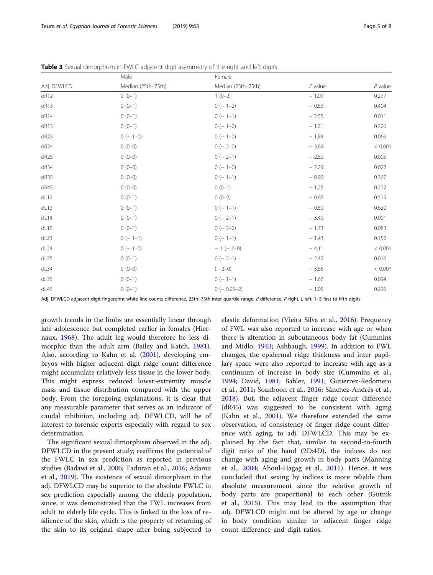|                  | Male               | Female             |           |           |  |
|------------------|--------------------|--------------------|-----------|-----------|--|
| Adj. DFWLCD      | Median (25th-75th) | Median (25th-75th) | $Z$ value | $P$ value |  |
| dR12             | $0(0-1)$           | $1(0-2)$           | $-1.09$   | 0.277     |  |
| dR13             | $0(0-1)$           | $0 (- 1 - 2)$      | $-0.83$   | 0.404     |  |
| dR14             | $0(0-1)$           | $0 (- 1 - 1)$      | $-2.55$   | 0.011     |  |
| dR15             | $0(0-1)$           | $0 (- 1 - 2)$      | $-1.21$   | 0.226     |  |
| dR <sub>23</sub> | $0 (- 1 - 0)$      | $0 (- 1 - 0)$      | $-1.84$   | 0.066     |  |
| dR24             | $0(0-0)$           | $0 (- 2 - 0)$      | $-3.69$   | < 0.001   |  |
| dR <sub>25</sub> | $0(0-0)$           | $0(-2-1)$          | $-2.82$   | 0.005     |  |
| dR34             | $0(0-0)$           | $0 (- 1 - 0)$      | $-2.29$   | 0.022     |  |
| dR35             | $0(0-0)$           | $0 (- 1 - 1)$      | $-0.90$   | 0.367     |  |
| dR45             | $0(0-0)$           | $0(0-1)$           | $-1.25$   | 0.212     |  |
| dL12             | $0(0-1)$           | $0(0-2)$           | $-0.65$   | 0.515     |  |
| dL13             | $0(0-1)$           | $0 (- 1 - 1)$      | $-0.50$   | 0.620     |  |
| dL14             | $0(0-1)$           | $0 (- 2 - 1)$      | $-3.40$   | 0.001     |  |
| dL15             | $0(0-1)$           | $0 (- 2-2)$        | $-1.73$   | 0.083     |  |
| dL23             | $0 (- 1 - 1)$      | $0(-1-1)$          | $-1.43$   | 0.152     |  |
| dL24             | $0 (- 1 - 0)$      | $-1 (-2-0)$        | $-4.11$   | < 0.001   |  |
| dL25             | $0(0-1)$           | $0(-2-1)$          | $-2.42$   | 0.016     |  |
| dL34             | $0(0-0)$           | $(-2-0)$           | $-3.66$   | < 0.001   |  |
| dL35             | $0(0-1)$           | $0(-1-1)$          | $-1.67$   | 0.094     |  |
| dL45             | $0(0-1)$           | $0 (- 0.25 - 2)$   | $-1.05$   | 0.295     |  |

<span id="page-4-0"></span>Table 3 Sexual dimorphism in FWLC adjacent digit asymmetry of the right and left digits

Adj. DFWLCD adjacent digit fingerprint white line counts difference, 25th–75th inter quartile range, d difference, R right, L left, 1-5 first to fifth digits

growth trends in the limbs are essentially linear through late adolescence but completed earlier in females (Hiernaux, [1968\)](#page-7-0). The adult leg would therefore be less dimorphic than the adult arm (Bailey and Katch, [1981](#page-6-0)). Also, according to Kahn et al. ([2001](#page-7-0)), developing embryos with higher adjacent digit ridge count difference might accumulate relatively less tissue in the lower body. This might express reduced lower-extremity muscle mass and tissue distribution compared with the upper body. From the foregoing explanations, it is clear that any measurable parameter that serves as an indicator of caudal inhibition, including adj. DFWLCD, will be of interest to forensic experts especially with regard to sex determination.

The significant sexual dimorphism observed in the adj. DFWLCD in the present study; reaffirms the potential of the FWLC in sex prediction as reported in previous studies (Badawi et al., [2006;](#page-6-0) Taduran et al., [2016](#page-7-0); Adamu et al., [2019](#page-6-0)). The existence of sexual dimorphism in the adj. DFWLCD may be superior to the absolute FWLC in sex prediction especially among the elderly population, since, it was demonstrated that the FWL increases from adult to elderly life cycle. This is linked to the loss of resilience of the skin, which is the property of returning of the skin to its original shape after being subjected to elastic deformation (Vieira Silva et al., [2016](#page-7-0)). Frequency of FWL was also reported to increase with age or when there is alteration in subcutaneous body fat (Cummins and Midlo, [1943;](#page-6-0) Ashbaugh, [1999\)](#page-6-0). In addition to FWL changes, the epidermal ridge thickness and inter papillary space were also reported to increase with age as a continuum of increase in body size (Cummins et al., [1994](#page-7-0); David, [1981](#page-7-0); Babler, [1991;](#page-6-0) Gutierrez-Redomero et al., [2011](#page-7-0); Soanboon et al., [2016](#page-7-0); Sánchez-Andrés et al., [2018](#page-7-0)). But, the adjacent finger ridge count difference (dR45) was suggested to be consistent with aging (Kahn et al., [2001](#page-7-0)). We therefore extended the same observation, of consistency of finger ridge count difference with aging, to adj. DFWLCD. This may be explained by the fact that, similar to second-to-fourth digit ratio of the hand (2D:4D), the indices do not change with aging and growth in body parts (Manning et al., [2004](#page-7-0); Aboul-Hagag et al., [2011\)](#page-6-0). Hence, it was concluded that sexing by indices is more reliable than absolute measurement since the relative growth of body parts are proportional to each other (Gutnik et al., [2015](#page-7-0)). This may lead to the assumption that adj. DFWLCD might not be altered by age or change in body condition similar to adjacent finger ridge count difference and digit ratios.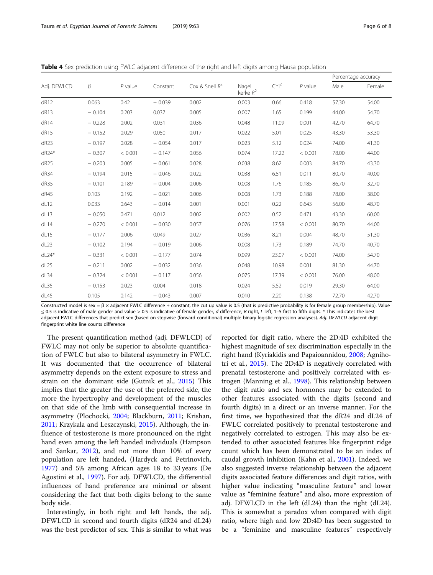<span id="page-5-0"></span>

|  |  |  | <b>Table 4</b> Sex prediction using FWLC adiacent difference of the right and left digits among Hausa population |
|--|--|--|------------------------------------------------------------------------------------------------------------------|
|  |  |  |                                                                                                                  |

|                  |          |           |          |                   |                      |                  |           | Percentage accuracy |        |
|------------------|----------|-----------|----------|-------------------|----------------------|------------------|-----------|---------------------|--------|
| Adj. DFWLCD      | $\beta$  | $P$ value | Constant | Cox & Snell $R^2$ | Nagel<br>kerke $R^2$ | Chi <sup>2</sup> | $P$ value | Male                | Female |
| dR12             | 0.063    | 0.42      | $-0.039$ | 0.002             | 0.003                | 0.66             | 0.418     | 57.30               | 54.00  |
| dR13             | $-0.104$ | 0.203     | 0.037    | 0.005             | 0.007                | 1.65             | 0.199     | 44.00               | 54.70  |
| dR14             | $-0.228$ | 0.002     | 0.031    | 0.036             | 0.048                | 11.09            | 0.001     | 42.70               | 64.70  |
| dR15             | $-0.152$ | 0.029     | 0.050    | 0.017             | 0.022                | 5.01             | 0.025     | 43.30               | 53.30  |
| dR23             | $-0.197$ | 0.028     | $-0.054$ | 0.017             | 0.023                | 5.12             | 0.024     | 74.00               | 41.30  |
| $dR24*$          | $-0.307$ | < 0.001   | $-0.147$ | 0.056             | 0.074                | 17.22            | < 0.001   | 78.00               | 44.00  |
| dR <sub>25</sub> | $-0.203$ | 0.005     | $-0.061$ | 0.028             | 0.038                | 8.62             | 0.003     | 84.70               | 43.30  |
| dR34             | $-0.194$ | 0.015     | $-0.046$ | 0.022             | 0.038                | 6.51             | 0.011     | 80.70               | 40.00  |
| dR35             | $-0.101$ | 0.189     | $-0.004$ | 0.006             | 0.008                | 1.76             | 0.185     | 86.70               | 32.70  |
| dR45             | 0.103    | 0.192     | $-0.021$ | 0.006             | 0.008                | 1.73             | 0.188     | 78.00               | 38.00  |
| dL12             | 0.033    | 0.643     | $-0.014$ | 0.001             | 0.001                | 0.22             | 0.643     | 56.00               | 48.70  |
| dL13             | $-0.050$ | 0.471     | 0.012    | 0.002             | 0.002                | 0.52             | 0.471     | 43.30               | 60.00  |
| dL14             | $-0.270$ | < 0.001   | $-0.030$ | 0.057             | 0.076                | 17.58            | < 0.001   | 80.70               | 44.00  |
| dL15             | $-0.177$ | 0.006     | 0.049    | 0.027             | 0.036                | 8.21             | 0.004     | 48.70               | 51.30  |
| dL23             | $-0.102$ | 0.194     | $-0.019$ | 0.006             | 0.008                | 1.73             | 0.189     | 74.70               | 40.70  |
| $dL24*$          | $-0.331$ | < 0.001   | $-0.177$ | 0.074             | 0.099                | 23.07            | < 0.001   | 74.00               | 54.70  |
| dL25             | $-0.211$ | 0.002     | $-0.032$ | 0.036             | 0.048                | 10.98            | 0.001     | 81.30               | 44.70  |
| dL34             | $-0.324$ | < 0.001   | $-0.117$ | 0.056             | 0.075                | 17.39            | < 0.001   | 76.00               | 48.00  |
| dL35             | $-0.153$ | 0.023     | 0.004    | 0.018             | 0.024                | 5.52             | 0.019     | 29.30               | 64.00  |
| dL45             | 0.105    | 0.142     | $-0.043$ | 0.007             | 0.010                | 2.20             | 0.138     | 72.70               | 42.70  |

Constructed model is sex =  $\beta$  × adjacent FWLC difference + constant, the cut up value is 0.5 (that is predictive probability is for female group membership). Value ≤ 0.5 is indicative of male gender and value > 0.5 is indicative of female gender, d difference, R right, L left, 1-5 first to fifth digits. \* This indicates the best adjacent FWLC differences that predict sex (based on stepwise (forward conditional) multiple binary logistic regression analyses). Adj. DFWLCD adjacent digit fingerprint white line counts difference

The present quantification method (adj. DFWLCD) of FWLC may not only be superior to absolute quantification of FWLC but also to bilateral asymmetry in FWLC. It was documented that the occurrence of bilateral asymmetry depends on the extent exposure to stress and strain on the dominant side (Gutnik et al., [2015\)](#page-7-0) This implies that the greater the use of the preferred side, the more the hypertrophy and development of the muscles on that side of the limb with consequential increase in asymmetry (Plochocki, [2004](#page-7-0); Blackburn, [2011;](#page-6-0) Krishan, [2011](#page-7-0); Krzykala and Leszczynski, [2015\)](#page-7-0). Although, the influence of testosterone is more pronounced on the right hand even among the left handed individuals (Hampson and Sankar, [2012](#page-7-0)), and not more than 10% of every population are left handed, (Hardyck and Petrinovich, [1977](#page-7-0)) and 5% among African ages 18 to 33 years (De Agostini et al., [1997\)](#page-7-0). For adj. DFWLCD, the differential influences of hand preference are minimal or absent considering the fact that both digits belong to the same body side.

Interestingly, in both right and left hands, the adj. DFWLCD in second and fourth digits (dR24 and dL24) was the best predictor of sex. This is similar to what was

reported for digit ratio, where the 2D:4D exhibited the highest magnitude of sex discrimination especially in the right hand (Kyriakidis and Papaioannidou, [2008;](#page-7-0) Agnihotri et al., [2015](#page-6-0)). The 2D:4D is negatively correlated with prenatal testosterone and positively correlated with estrogen (Manning et al., [1998](#page-7-0)). This relationship between the digit ratio and sex hormones may be extended to other features associated with the digits (second and fourth digits) in a direct or an inverse manner. For the first time, we hypothesized that the dR24 and dL24 of FWLC correlated positively to prenatal testosterone and negatively correlated to estrogen. This may also be extended to other associated features like fingerprint ridge count which has been demonstrated to be an index of caudal growth inhibition (Kahn et al., [2001\)](#page-7-0). Indeed, we also suggested inverse relationship between the adjacent digits associated feature differences and digit ratios, with higher value indicating "masculine feature" and lower value as "feminine feature" and also, more expression of adj. DFWLCD in the left (dL24) than the right (dL24). This is somewhat a paradox when compared with digit ratio, where high and low 2D:4D has been suggested to be a "feminine and masculine features" respectively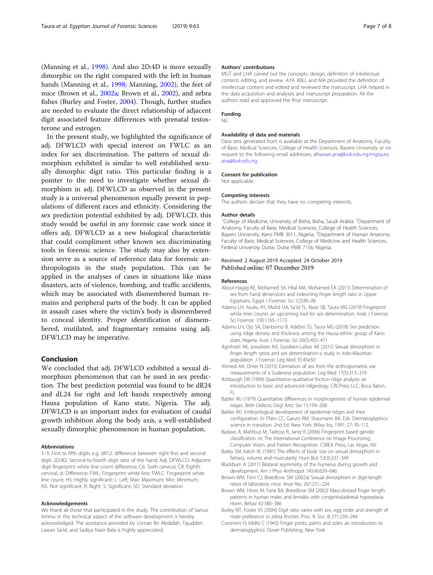<span id="page-6-0"></span>(Manning et al., [1998](#page-7-0)). And also 2D:4D is more sexually dimorphic on the right compared with the left in human hands (Manning et al., [1998](#page-7-0); Manning, [2002\)](#page-7-0), the feet of mice (Brown et al., 2002a; Brown et al., 2002), and zebra fishes (Burley and Foster, 2004). Though, further studies are needed to evaluate the direct relationship of adjacent digit associated feature differences with prenatal testosterone and estrogen.

In the present study, we highlighted the significance of adj. DFWLCD with special interest on FWLC as an index for sex discrimination. The pattern of sexual dimorphism exhibited is similar to well established sexually dimorphic digit ratio. This particular finding is a pointer to the need to investigate whether sexual dimorphism in adj. DFWLCD as observed in the present study is a universal phenomenon equally present in populations of different races and ethnicity. Considering the sex prediction potential exhibited by adj. DFWLCD, this study would be useful in any forensic case work since it offers adj. DFWLCD as a new biological characteristic that could compliment other known sex discriminating tools in forensic science. The study may also by extension serve as a source of reference data for forensic anthropologists in the study population. This can be applied in the analyses of cases in situations like mass disasters, acts of violence, bombing, and traffic accidents, which may be associated with dismembered human remains and peripheral parts of the body. It can be applied in assault cases where the victim's body is dismembered to conceal identity. Proper identification of dismembered, mutilated, and fragmentary remains using adj. DFWLCD may be imperative.

### Conclusion

We concluded that adj. DFWLCD exhibited a sexual dimorphism phenomenon that can be used in sex prediction. The best prediction potential was found to be dR24 and dL24 for right and left hands respectively among Hausa population of Kano state, Nigeria. The adj. DFWLCD is an important index for evaluation of caudal growth inhibition along the body axis, a well-established sexually dimorphic phenomenon in human population.

#### Abbreviations

1–5: First to fifth digits e.g. dR12: difference between right first and second digit; 2D:4D: Second-to-fourth digit ratio of the hand; Adj. DFWLCD: Adjacent digit fingerprint white line count difference; C6: Sixth cervical; C8: Eighth cervical; d: Difference; FWL: Fingerprint white line; FWLC: Fingerprint white line count; HS: Highly significant; L: Left; Max: Maximum; Min: Minimum; NS: Not significant; R: Right; S: Significant; SD: Standard deviation

#### Acknowledgements

We thank all those that participated in the study. The contribution of Sanusi Aminu in the technical aspect of the software development is hereby acknowledged. The assistance provided by Usman Bn Abdallah, Tajudden Lawan Sa'id, and Sadiya Nasir Bala is highly appreciated.

#### Authors' contributions

MGT and LHA carried out the concepts, design, definition of intellectual content, editing, and review. AYA, KBU, and MA provided the definition of intellectual content and edited and reviewed the manuscript. LHA helped in the data acquisition and analyses and manuscript preparation. All the authors read and approved the final manuscript.

#### Funding Nil.

# Availability of data and materials

Data sets generated from is available at the Department of Anatomy, Faculty of Basic Medical Sciences, College of Health Sciences, Bayero University or on request to the following email addresses; [alhassan.ana@buk.edu.ng](mailto:alhassan.ana@buk.edu.ng)[/mgtaura.](mailto:/mgtaura.ana@buk.edu.ng) [ana@buk.edu.ng.](mailto:/mgtaura.ana@buk.edu.ng)

#### Consent for publication

Not applicable.

#### Competing interests

The authors declare that they have no competing interests.

#### Author details

<sup>1</sup>College of Medicine, University of Bisha, Bisha, Saudi Arabia. <sup>2</sup>Department of Anatomy, Faculty of Basic Medical Sciences, College of Health Sciences, Bayero University, Kano PMB 3011, Nigeria. <sup>3</sup>Department of Human Anatomy, Faculty of Basic Medical Sciences, College of Medicine and Health Sciences, Federal University Dutse, Dutse PMB 7156, Nigeria.

#### Received: 2 August 2019 Accepted: 24 October 2019 Published online: 07 December 2019

#### References

- Aboul-Hagag KE, Mohamed SA, Hilal MA, Mohamed EA (2011) Determination of sex from hand dimensions and index/ring finger length ratio in Upper Egyptians. Egypt J Forensic Sci 1(2):80–86
- Adamu LH, Asuku AY, Muhd UA, Sa'id TL, Nasir SB, Taura MG (2019) Fingerprint white lines counts: an upcoming tool for sex determination. Arab J Forensic Sci Forensic 1(9):1165–1173
- Adamu LH, Ojo SA, Danborno B, Adebisi SS, Taura MG (2018) Sex prediction using ridge density and thickness among the Hausa ethnic group of Kano state, Nigeria. Aust J Forensic Sci 50(5):455–471
- Agnihotri AK, Jowaheer AA, Soodeen-Lalloo AK (2015) Sexual dimorphism in finger length ratios and sex determination-a study in Indo-Mauritian population. J Forensic Leg Med 35:45e50
- Ahmed AA, Omer N (2015) Estimation of sex from the anthropometric ear measurements of a Sudanese population. Leg Med 17(5):313–319
- Ashbaugh DR (1999) Quantitative-qualitative friction ridge analysis: an introduction to basic and advanced ridgeology. CRCPress LLC, Boca Raton, FL
- Babler WJ (1979) Quantitative differences in morphogenesis of human epidermal ridges. Birth Defects Origl Artic Ser 15:199–208
- Babler WJ. Embryological development of epidermal ridges and their configuration. In: Plato CC, Garuto RM, Shaumann BA. Eds. Dermatoglyphics: science in transition. 2nd Ed. New York: Wiley liss; 1991; 27: 95-112.
- Badawi A, Mahfouz M, Tadross R, Jantz R (2006) Fingerprint based gender classification. In: The International Conference on Image Processing, Computer Vision, and Pattern Recognition. CSREA Press, Las Vegas, NV
- Bailey SM, Katch VL (1981) The effects of body size on sexual dimorphism in fatness, volume and muscularity. Hum Biol 53(3):337–349
- Blackburn A (2011) Bilateral asymmetry of the humerus during growth and development. Am J Phys Anthropol 145(4):639–646
- Brown WM, Finn CJ, Breedlove SM (2002a) Sexual dimorphism in digit-length ratios of laboratory mice. Anat Rec 267:231–234
- Brown WM, Hines M, Fane BA, Breedlove SM (2002) Masculinized finger length patterns in human males and females with congenitaladrenal hyperplasia. Horm. Behav 42:380–386
- Burley NT, Foster VS (2004) Digit ratio varies with sex, egg order and strength of mate preference in zebra finches. Proc. R. Soc. B 271:239–244
- Cummins H, Midlo C (1943) Finger prints, palms and soles: an introduction to dermatoglyphics. Dover Publishing, New York